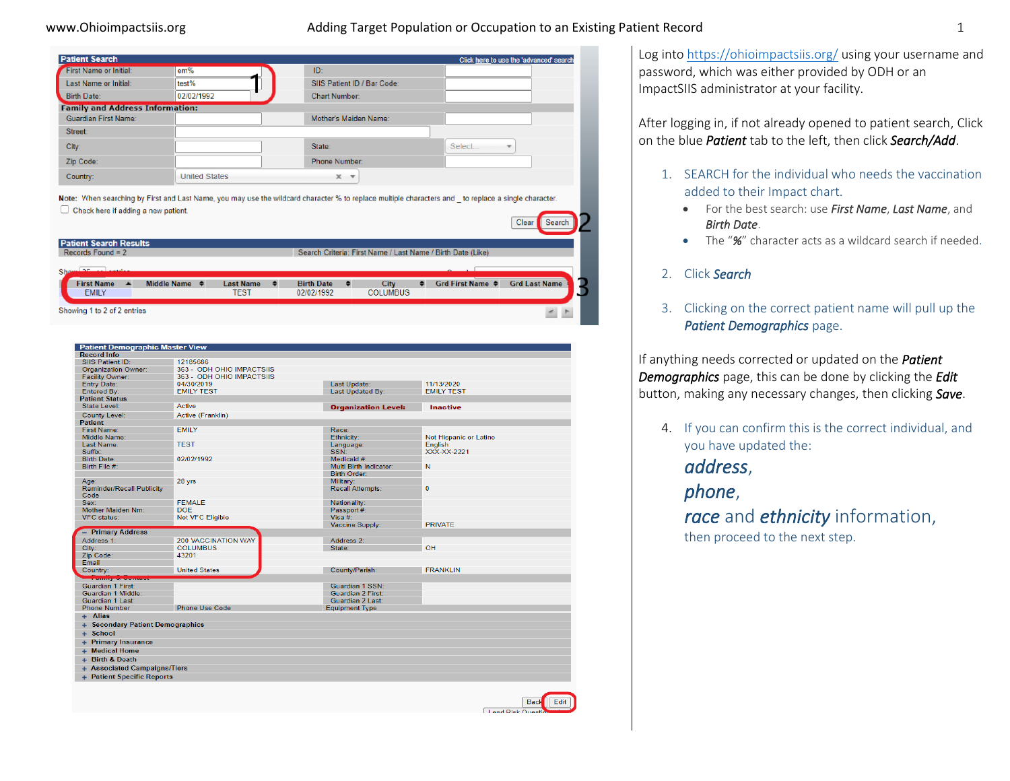## www.Ohioimpactsiis.org and adding Target Population or Occupation to an Existing Patient Record 1 and 1

| <b>Patient Search</b>                  |                      |                                                             | Click here to use the 'advanced' search                                                                                                                                |  |  |  |
|----------------------------------------|----------------------|-------------------------------------------------------------|------------------------------------------------------------------------------------------------------------------------------------------------------------------------|--|--|--|
| First Name or Initial:                 | em%                  | ID:                                                         |                                                                                                                                                                        |  |  |  |
| Last Name or Initial:                  | test%                | SIIS Patient ID / Bar Code:                                 |                                                                                                                                                                        |  |  |  |
| <b>Birth Date:</b>                     | 02/02/1992           | <b>Chart Number:</b>                                        |                                                                                                                                                                        |  |  |  |
| <b>Family and Address Information:</b> |                      |                                                             |                                                                                                                                                                        |  |  |  |
| <b>Guardian First Name:</b>            |                      | Mother's Maiden Name:                                       |                                                                                                                                                                        |  |  |  |
| Street:                                |                      |                                                             |                                                                                                                                                                        |  |  |  |
| City:                                  |                      | State:                                                      | Select                                                                                                                                                                 |  |  |  |
| Zip Code:                              |                      | <b>Phone Number:</b>                                        |                                                                                                                                                                        |  |  |  |
| Country:                               | <b>United States</b> | $X - T$                                                     |                                                                                                                                                                        |  |  |  |
| Check here if adding a new patient.    |                      |                                                             | Note: When searching by First and Last Name, you may use the wildcard character % to replace multiple characters and to replace a single character.<br>Clear<br>Search |  |  |  |
| <b>Patient Search Results</b>          |                      |                                                             |                                                                                                                                                                        |  |  |  |
| Records Found = $2$                    |                      | Search Criteria: First Name / Last Name / Birth Date (Like) |                                                                                                                                                                        |  |  |  |

♦ Grd First Name ♦ Grd Last Name Middle Name  $\triangle$ Last Name  $\bullet$ **Birth Date** City First Name  $\triangle$ EMILY **COLUMBUS TEST** 02/02/1992 Showing 1 to 2 of 2 entries

| <b>Patient Demographic Master View</b> |                            |                            |                        |  |
|----------------------------------------|----------------------------|----------------------------|------------------------|--|
| <b>Record Info</b>                     |                            |                            |                        |  |
| SIIS Patient ID:                       | 12185686                   |                            |                        |  |
| <b>Organization Owner:</b>             | 363 - ODH OHIO IMPACTSIIS  |                            |                        |  |
| <b>Facility Owner:</b>                 | 363 - ODH OHIO IMPACTSIIS  |                            |                        |  |
| <b>Entry Date:</b>                     | 04/30/2019                 | Last Update:               | 11/13/2020             |  |
| Entered By:                            | <b>EMILY TEST</b>          | <b>Last Updated By:</b>    | <b>EMILY TEST</b>      |  |
| <b>Patient Status</b>                  |                            |                            |                        |  |
| State Level:                           | Active                     | <b>Organization Level:</b> | Inactive               |  |
| <b>County Level:</b>                   | Active (Franklin)          |                            |                        |  |
| <b>Patient</b>                         |                            |                            |                        |  |
| <b>First Name:</b>                     | <b>EMILY</b>               | Race:                      |                        |  |
| Middle Name:                           |                            | Ethnicity:                 | Not Hispanic or Latino |  |
| <b>Last Name:</b>                      | <b>TEST</b>                | Language:                  | English                |  |
| Suffix:                                |                            | SSN:                       | XXX-XX-2221            |  |
| <b>Birth Date:</b>                     | 02/02/1992                 | Medicaid #:                |                        |  |
| Birth File #:                          |                            | Multi Birth Indicator:     | N                      |  |
|                                        |                            | <b>Birth Order:</b>        |                        |  |
| Age:                                   | 28 yrs                     | Military:                  |                        |  |
| <b>Reminder/Recall Publicity</b>       |                            | <b>Recall Attempts:</b>    | $\Omega$               |  |
| Code                                   |                            |                            |                        |  |
| Sex:                                   | <b>FFMALF</b>              | Nationality:               |                        |  |
| <b>Mother Maiden Nm:</b>               | <b>DOE</b>                 | Passport #:                |                        |  |
| <b>VFC</b> status:                     | Not VFC Eligible           | Visa $#$ :                 |                        |  |
|                                        |                            | Vaccine Supply:            | <b>PRIVATE</b>         |  |
| - Primary Address                      |                            |                            |                        |  |
| Address 1:                             | <b>200 VACCINATION WAY</b> | Address 2:                 |                        |  |
| City:                                  | <b>COLUMBUS</b>            | State:                     | OH                     |  |
| Zip Code:                              | 43201                      |                            |                        |  |
| Email                                  |                            |                            |                        |  |
| Country:                               | <b>United States</b>       | County/Parish:             | <b>FRANKLIN</b>        |  |
| <del>Family &amp; Contac</del>         |                            |                            |                        |  |
| <b>Guardian 1 First:</b>               |                            | Guardian 1 SSN:            |                        |  |
| Guardian 1 Middle:                     |                            | Guardian 2 First:          |                        |  |
| Guardian 1 Last:                       |                            | Guardian 2 Last:           |                        |  |
| <b>Phone Number</b>                    | <b>Phone Use Code</b>      | <b>Equipment Type</b>      |                        |  |
| + Alias                                |                            |                            |                        |  |
| + Secondary Patient Demographics       |                            |                            |                        |  |
| $+$ School                             |                            |                            |                        |  |
|                                        |                            |                            |                        |  |
| + Primary Insurance                    |                            |                            |                        |  |
| + Medical Home                         |                            |                            |                        |  |
| + Birth & Death                        |                            |                            |                        |  |
| + Associated Campaigns/Tiers           |                            |                            |                        |  |
| + Patient Specific Reports             |                            |                            |                        |  |
|                                        |                            |                            |                        |  |



Log int[o https://ohioimpactsiis.org/](https://ohioimpactsiis.org/) using your username and password, which was either provided by ODH or an ImpactSIIS administrator at your facility.

After logging in, if not already opened to patient search, Click on the blue *Patient* tab to the left, then click *Search/Add*.

- 1. SEARCH for the individual who needs the vaccination added to their Impact chart.
	- For the best search: use *First Name*, *Last Name*, and *Birth Date*.
	- The "*%*" character acts as a wildcard search if needed.

## 2. Click *Search*

3. Clicking on the correct patient name will pull up the *Patient Demographics* page.

If anything needs corrected or updated on the *Patient Demographics* page, this can be done by clicking the *Edit* button, making any necessary changes, then clicking *Save*.

- 4. If you can confirm this is the correct individual, and you have updated the: *address*,
	- *phone*,

*race* and *ethnicity* information, then proceed to the next step.